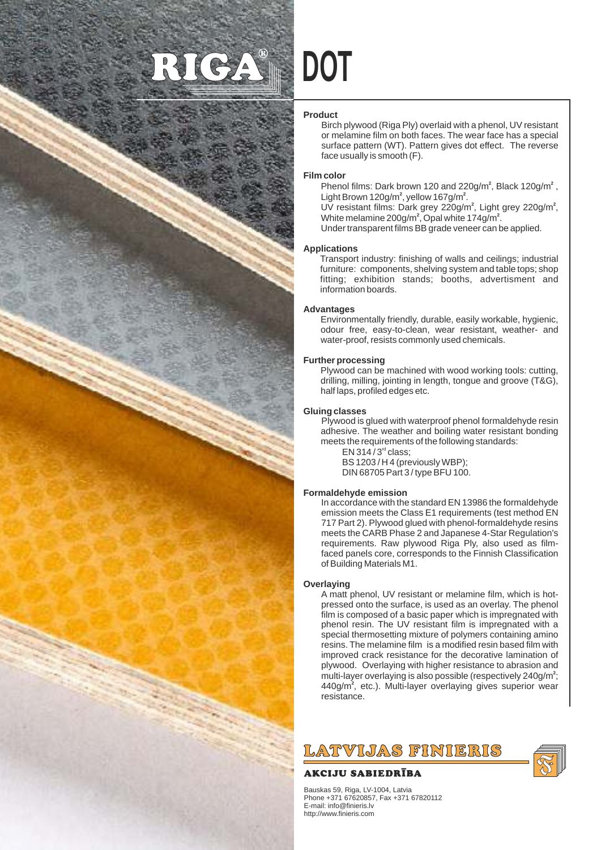# NC.

#### **Product**

**DOT**

Birch plywood (Riga Ply) overlaid with a phenol, UV resistant or melamine film on both faces. The wear face has a special surface pattern (WT). Pattern gives dot effect. The reverse face usually is smooth (F).

#### **Film color**

Phenol films: Dark brown 120 and  $220$ g/m<sup>2</sup>, Black 120g/m<sup>2</sup>, Light Brown 120g/m<sup>2</sup>, yellow 167g/m<sup>2</sup>.

UV resistant films: Dark grey 220g/m<sup>2</sup>, Light grey 220g/m<sup>2</sup>, White melamine  $200$ g/m<sup>2</sup>. Opal white  $174$ g/m<sup>2</sup>.

Under transparent films BB grade veneer can be applied.

#### **Applications**

Transport industry: finishing of walls and ceilings; industrial furniture: components, shelving system and table tops; shop fitting; exhibition stands; booths, advertisment and information boards.

## **Advantages**

Environmentally friendly, durable, easily workable, hygienic, odour free, easy-to-clean, wear resistant, weather- and water-proof, resists commonly used chemicals.

#### **Further processing**

Plywood can be machined with wood working tools: cutting, drilling, milling, jointing in length, tongue and groove (T&G), half laps, profiled edges etc.

#### **Gluing classes**

Plywood is glued with waterproof phenol formaldehyde resin adhesive. The weather and boiling water resistant bonding meets the requirements of the following standards:

 $EN$  314 / 3 $<sup>rd</sup>$  class:</sup> BS 1203 / H 4 (previously WBP); DIN 68705 Part 3 / type BFU 100.

## **Formaldehyde emission**

In accordance with the standard EN 13986 the formaldehyde emission meets the Class E1 requirements (test method EN 717 Part 2). Plywood glued with phenol-formaldehyde resins meets the CARB Phase 2 and Japanese 4-Star Regulation's requirements. Raw plywood Riga Ply, also used as filmfaced panels core, corresponds to the Finnish Classification of Building Materials M1.

#### **Overlaying**

A matt phenol, UV resistant or melamine film, which is hotpressed onto the surface, is used as an overlay. The phenol film is composed of a basic paper which is impregnated with phenol resin. The UV resistant film is impregnated with a special thermosetting mixture of polymers containing amino resins. The melamine film is a modified resin based film with improved crack resistance for the decorative lamination of plywood. Overlaying with higher resistance to abrasion and multi-layer overlaying is also possible (respectively 240g/m<sup>2</sup>; 440g/m<sup>2</sup>, etc.). Multi-layer overlaying gives superior wear resistance .

# LATVIJAS FINIERIS

# AKCIJU SABIEDRĪBA

Bauskas 59, Riga, LV-1004, Latvia Phone +371 67620857, Fax +371 67820112 E-mail: info@finieris.lv http://www.finieris.com